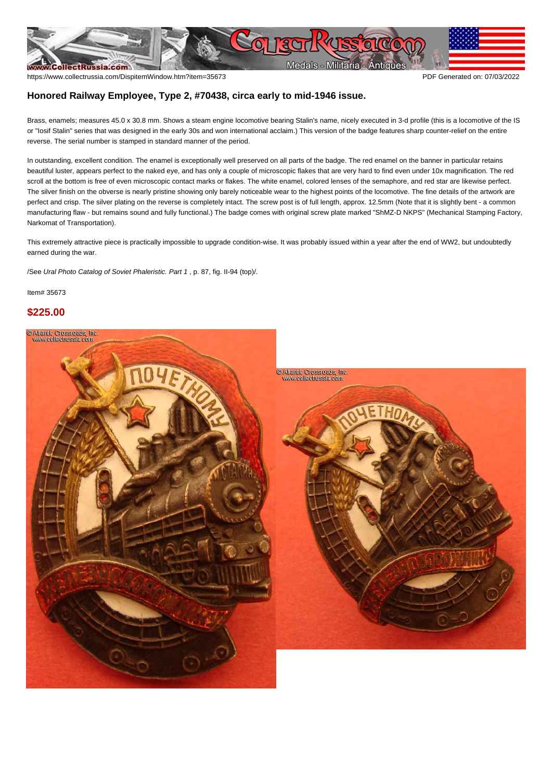

## https://www.collectrussia.com/DispitemWindow.htm?item=35673 PDF Generated on: 07/03/2022

## **Honored Railway Employee, Type 2, #70438, circa early to mid-1946 issue.**

Brass, enamels; measures 45.0 x 30.8 mm. Shows a steam engine locomotive bearing Stalin's name, nicely executed in 3-d profile (this is a locomotive of the IS or "Iosif Stalin" series that was designed in the early 30s and won international acclaim.) This version of the badge features sharp counter-relief on the entire reverse. The serial number is stamped in standard manner of the period.

In outstanding, excellent condition. The enamel is exceptionally well preserved on all parts of the badge. The red enamel on the banner in particular retains beautiful luster, appears perfect to the naked eye, and has only a couple of microscopic flakes that are very hard to find even under 10x magnification. The red scroll at the bottom is free of even microscopic contact marks or flakes. The white enamel, colored lenses of the semaphore, and red star are likewise perfect. The silver finish on the obverse is nearly pristine showing only barely noticeable wear to the highest points of the locomotive. The fine details of the artwork are perfect and crisp. The silver plating on the reverse is completely intact. The screw post is of full length, approx. 12.5mm (Note that it is slightly bent - a common manufacturing flaw - but remains sound and fully functional.) The badge comes with original screw plate marked "ShMZ-D NKPS" (Mechanical Stamping Factory, Narkomat of Transportation).

This extremely attractive piece is practically impossible to upgrade condition-wise. It was probably issued within a year after the end of WW2, but undoubtedly earned during the war.

/See Ural Photo Catalog of Soviet Phaleristic. Part 1 , p. 87, fig. II-94 (top)/.

## Item# 35673

## **\$225.00**

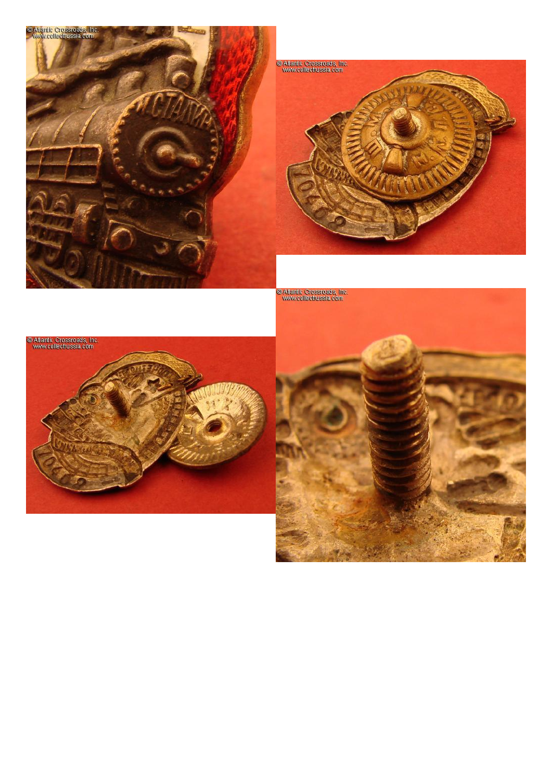